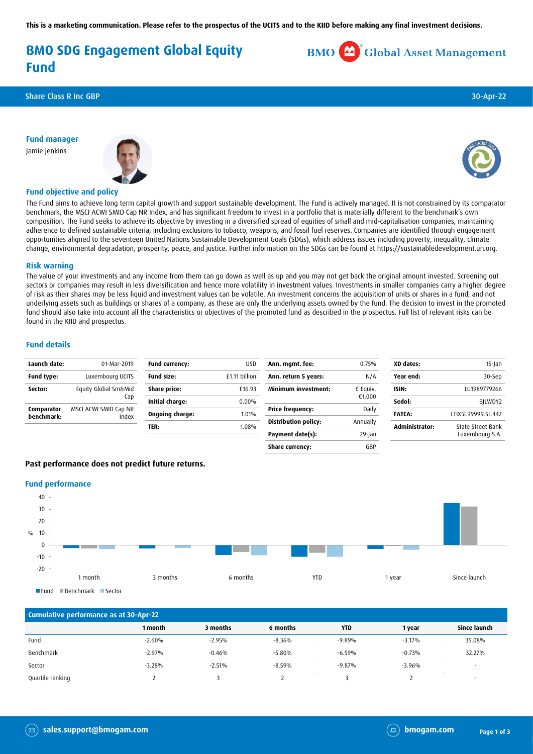**This is a marketing communication. Please refer to the prospectus of the UCITS and to the KIID before making any final investment decisions.**

## **BMO SDG Engagement Global Equity Fund**

Share Class R Inc GBP 30-Apr-22

**Fund manager** Jamie Jenkins





**BMO** Global Asset Management

### **Fund objective and policy**

The Fund aims to achieve long term capital growth and support sustainable development. The Fund is actively managed. It is not constrained by its comparator benchmark, the MSCI ACWI SMID Cap NR Index, and has significant freedom to invest in a portfolio that is materially different to the benchmark's own composition. The Fund seeks to achieve its objective by investing in a diversified spread of equities of small and mid-capitalisation companies, maintaining adherence to defined sustainable criteria; including exclusions to tobacco, weapons, and fossil fuel reserves. Companies are identified through engagement opportunities aligned to the seventeen United Nations Sustainable Development Goals (SDGs), which address issues including poverty, inequality, climate change, environmental degradation, prosperity, peace, and justice. Further information on the SDGs can be found at https://sustainabledevelopment.un.org.

## **Risk warning**

The value of your investments and any income from them can go down as well as up and you may not get back the original amount invested. Screening out sectors or companies may result in less diversification and hence more volatility in investment values. Investments in smaller companies carry a higher degree of risk as their shares may be less liquid and investment values can be volatile. An investment concerns the acquisition of units or shares in a fund, and not underlying assets such as buildings or shares of a company, as these are only the underlying assets owned by the fund. The decision to invest in the promoted fund should also take into account all the characteristics or objectives of the promoted fund as described in the prospectus. Full list of relevant risks can be found in the KIID and prospectus.

## **Fund details**

| Launch date:             | 01-Mar-2019                    | <b>Fund currency:</b>  | <b>USD</b>    | Ann. mgmt. fee:             | 0.75%     | XD dates:      | $15$ -Jan                            |
|--------------------------|--------------------------------|------------------------|---------------|-----------------------------|-----------|----------------|--------------------------------------|
| <b>Fund type:</b>        | Luxembourg UCITS               | <b>Fund size:</b>      | £1.11 billion | Ann. return 5 years:        | N/A       | Year end:      | 30-Sep                               |
| Sector:                  | Equity Global Sm&Mid           | Share price:           | £16.93        | Minimum investment:         | £ Equiv.  | ISIN:          | LU1989779266                         |
|                          | Cap                            | <b>Initial charge:</b> | $0.00\%$      |                             | €1,000    | Sedol:         | BILWDY2                              |
| Comparator<br>benchmark: | MSCI ACWI SMID Cap NR<br>Index | Ongoing charge:        | 1.01%         | <b>Price frequency:</b>     | Daily     | <b>FATCA:</b>  | LTIX5I.99999.SL.442                  |
|                          |                                |                        |               | <b>Distribution policy:</b> | Annually  |                |                                      |
|                          |                                | TER:                   | 1.08%         | Payment date(s):            | $29$ -Jan | Administrator: | State Street Bank<br>Luxembourg S.A. |

**Share currency:** GBP

## **Past performance does not predict future returns.**

#### **Fund performance**



| Cumulative performance as at 30-Apr-22 |          |          |          |            |          |              |  |
|----------------------------------------|----------|----------|----------|------------|----------|--------------|--|
|                                        | 1 month  | 3 months | 6 months | <b>YTD</b> | 1 year   | Since launch |  |
| Fund                                   | $-2.60%$ | $-2.95%$ | $-8.36%$ | $-9.89%$   | $-3.17%$ | 35.08%       |  |
| Benchmark                              | $-2.97%$ | $-0.46%$ | $-5.80%$ | $-6.59%$   | $-0.73%$ | 32.27%       |  |
| Sector                                 | $-3.28%$ | $-2.51%$ | $-8.59%$ | $-9.87%$   | $-3.96%$ |              |  |
| Quartile ranking                       |          |          |          |            |          |              |  |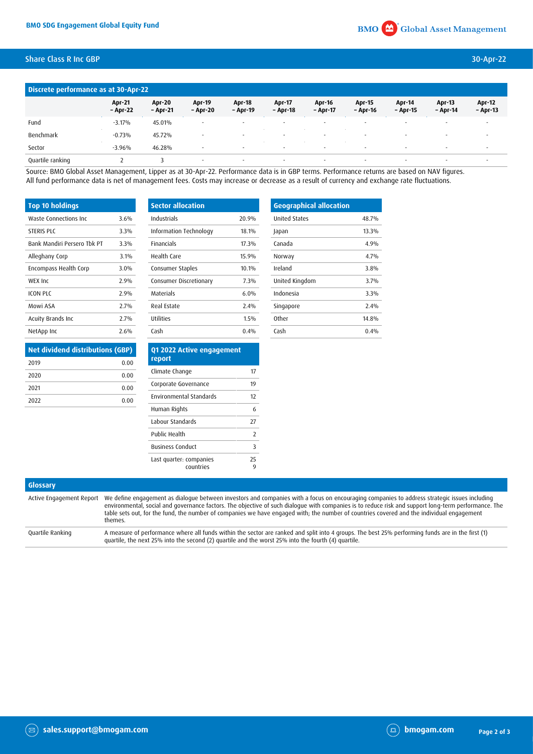## Share Class R Inc GBP 30-Apr-22

| Discrete performance as at 30-Apr-22 |                           |                           |                           |                           |                          |                           |                           |                    |                           |                           |
|--------------------------------------|---------------------------|---------------------------|---------------------------|---------------------------|--------------------------|---------------------------|---------------------------|--------------------|---------------------------|---------------------------|
|                                      | <b>Apr-21</b><br>- Apr-22 | <b>Apr-20</b><br>- Apr-21 | <b>Apr-19</b><br>- Apr-20 | <b>Apr-18</b><br>- Apr-19 | Apr-17<br>- Apr-18       | <b>Apr-16</b><br>- Apr-17 | <b>Apr-15</b><br>- Apr-16 | Apr-14<br>- Apr-15 | <b>Apr-13</b><br>- Apr-14 | <b>Apr-12</b><br>- Apr-13 |
| Fund                                 | $-3.17%$                  | 45.01%                    | $\sim$                    | $\overline{\phantom{a}}$  | $\overline{\phantom{a}}$ |                           | $\overline{\phantom{a}}$  | $\sim$             | $\sim$                    | $\sim$                    |
| Benchmark                            | $-0.73%$                  | 45.72%                    | $\sim$                    | $\sim$                    | $\sim$                   | $\sim$                    | $\sim$                    | $\sim$             | $\sim$                    | $\overline{\phantom{a}}$  |
| Sector                               | $-3.96%$                  | 46.28%                    | $\overline{\phantom{a}}$  | $\sim$                    | $\sim$                   | $\sim$                    | $\sim$                    | $\sim$             | $\sim$                    | $\sim$                    |
| Quartile ranking                     |                           |                           | $\overline{\phantom{a}}$  | $\sim$                    | $\overline{\phantom{a}}$ |                           | $\sim$                    | $\sim$             | ٠                         |                           |

Source: BMO Global Asset Management, Lipper as at 30-Apr-22. Performance data is in GBP terms. Performance returns are based on NAV figures. All fund performance data is net of management fees. Costs may increase or decrease as a result of currency and exchange rate fluctuations.

| <b>Top 10 holdings</b>      |         |
|-----------------------------|---------|
| Waste Connections Inc       | 3.6%    |
| <b>STERIS PLC</b>           | 3.3%    |
| Bank Mandiri Persero Thk PT | 3.3%    |
| Alleghany Corp              | 3.1%    |
| Encompass Health Corp       | $3.0\%$ |
| WEX Inc                     | 2.9%    |
| ICON PLC                    | 79%     |
| Mowi ASA                    | 2.7%    |
| Acuity Brands Inc           | 2.7%    |
| NetApp Inc                  | 2.6%    |

| <b>Sector allocation</b> |       |
|--------------------------|-------|
| Industrials              | 20.9% |
| Information Technology   | 18 1% |
| <b>Financials</b>        | 17.3% |
| Health Care              | 15 9% |
| Consumer Staples         | 10.1% |
| Consumer Discretionary   | 7.3%  |
| Materials                | 6.0%  |
| Real Estate              | 2.4%  |
| Utilities                | 1.5%  |
| Cash                     | 0.4%  |

| <b>Geographical allocation</b> |       |
|--------------------------------|-------|
| <b>United States</b>           | 48.7% |
| Japan                          | 13.3% |
| Canada                         | 4.9%  |
| Norway                         | 4.7%  |
| Ireland                        | 3.8%  |
| United Kingdom                 | 3.7%  |
| Indonesia                      | 3.3%  |
| Singapore                      | 7.4%  |
| <b>Other</b>                   | 14.8% |
| Cash                           | 0.4%  |

| <b>Net dividend distributions (GBP)</b> |      |
|-----------------------------------------|------|
| 2019                                    | 0.00 |
| 2020                                    | 0.00 |
| 2021                                    | 0.00 |
| 2022                                    | 0.00 |
|                                         |      |

| Q1 2022 Active engagement<br>report  |    |
|--------------------------------------|----|
| Climate Change                       | 17 |
| Corporate Governance                 | 19 |
| Environmental Standards              | 17 |
| Human Rights                         | 6  |
| Labour Standards                     | 77 |
| Public Health                        | 7  |
| <b>Business Conduct</b>              | 3  |
| Last quarter: companies<br>countries | 25 |

# **Glossary**

Active Engagement Report We define engagement as dialogue between investors and companies with a focus on encouraging companies to address strategic issues including environmental, social and governance factors. The objective of such dialogue with companies is to reduce risk and support long-term performance. The table sets out, for the fund, the number of companies we have engaged with; the number of countries covered and the individual engagement themes. Quartile Ranking A measure of performance where all funds within the sector are ranked and split into 4 groups. The best 25% performing funds are in the first (1) quartile, the next 25% into the second (2) quartile and the worst 25% into the fourth (4) quartile.